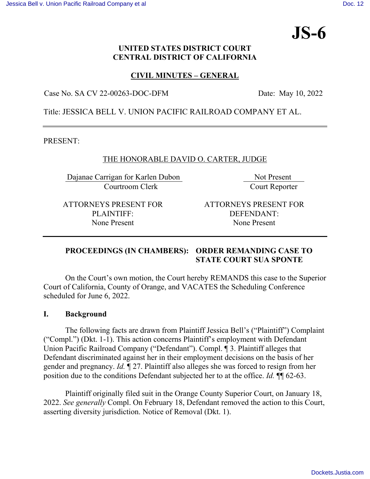# **JS-6**

## **UNITED STATES DISTRICT COURT CENTRAL DISTRICT OF CALIFORNIA**

# **CIVIL MINUTES – GENERAL**

Case No. SA CV 22-00263-DOC-DFM Date: May 10, 2022

Title: JESSICA BELL V. UNION PACIFIC RAILROAD COMPANY ET AL.

PRESENT:

## THE HONORABLE DAVID O. CARTER, JUDGE

Dajanae Carrigan for Karlen Dubon Not Present Courtroom Clerk Court Reporter

ATTORNEYS PRESENT FOR PLAINTIFF: None Present

ATTORNEYS PRESENT FOR DEFENDANT: None Present

## **PROCEEDINGS (IN CHAMBERS): ORDER REMANDING CASE TO STATE COURT SUA SPONTE**

 On the Court's own motion, the Court hereby REMANDS this case to the Superior Court of California, County of Orange, and VACATES the Scheduling Conference scheduled for June 6, 2022.

## **I. Background**

The following facts are drawn from Plaintiff Jessica Bell's ("Plaintiff") Complaint ("Compl.") (Dkt. 1-1). This action concerns Plaintiff's employment with Defendant Union Pacific Railroad Company ("Defendant"). Compl. ¶ 3. Plaintiff alleges that Defendant discriminated against her in their employment decisions on the basis of her gender and pregnancy. *Id.* ¶ 27. Plaintiff also alleges she was forced to resign from her position due to the conditions Defendant subjected her to at the office. *Id.* ¶¶ 62-63.

Plaintiff originally filed suit in the Orange County Superior Court, on January 18, 2022. *See generally* Compl. On February 18, Defendant removed the action to this Court, asserting diversity jurisdiction. Notice of Removal (Dkt. 1).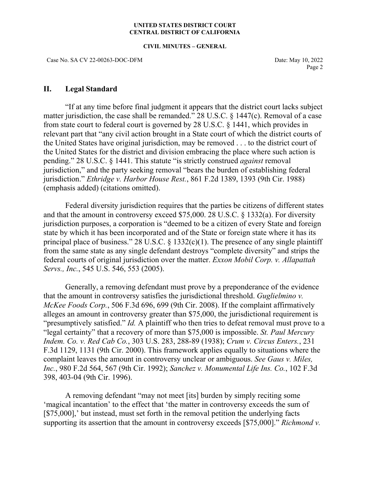#### **UNITED STATES DISTRICT COURT CENTRAL DISTRICT OF CALIFORNIA**

#### **CIVIL MINUTES – GENERAL**

Case No. SA CV 22-00263-DOC-DFM Date: May 10, 2022

Page 2

## **II. Legal Standard**

"If at any time before final judgment it appears that the district court lacks subject matter jurisdiction, the case shall be remanded." 28 U.S.C. § 1447(c). Removal of a case from state court to federal court is governed by 28 U.S.C. § 1441, which provides in relevant part that "any civil action brought in a State court of which the district courts of the United States have original jurisdiction, may be removed . . . to the district court of the United States for the district and division embracing the place where such action is pending." 28 U.S.C. § 1441. This statute "is strictly construed *against* removal jurisdiction," and the party seeking removal "bears the burden of establishing federal jurisdiction." *Ethridge v. Harbor House Rest.*, 861 F.2d 1389, 1393 (9th Cir. 1988) (emphasis added) (citations omitted).

Federal diversity jurisdiction requires that the parties be citizens of different states and that the amount in controversy exceed \$75,000. 28 U.S.C. § 1332(a). For diversity jurisdiction purposes, a corporation is "deemed to be a citizen of every State and foreign state by which it has been incorporated and of the State or foreign state where it has its principal place of business." 28 U.S.C.  $\S$  1332(c)(1). The presence of any single plaintiff from the same state as any single defendant destroys "complete diversity" and strips the federal courts of original jurisdiction over the matter. *Exxon Mobil Corp. v. Allapattah Servs., Inc.*, 545 U.S. 546, 553 (2005).

 Generally, a removing defendant must prove by a preponderance of the evidence that the amount in controversy satisfies the jurisdictional threshold. *Guglielmino v. McKee Foods Corp.*, 506 F.3d 696, 699 (9th Cir. 2008). If the complaint affirmatively alleges an amount in controversy greater than \$75,000, the jurisdictional requirement is "presumptively satisfied." *Id.* A plaintiff who then tries to defeat removal must prove to a "legal certainty" that a recovery of more than \$75,000 is impossible. *St. Paul Mercury Indem. Co. v. Red Cab Co.*, 303 U.S. 283, 288-89 (1938); *Crum v. Circus Enters.*, 231 F.3d 1129, 1131 (9th Cir. 2000). This framework applies equally to situations where the complaint leaves the amount in controversy unclear or ambiguous. *See Gaus v. Miles, Inc.*, 980 F.2d 564, 567 (9th Cir. 1992); *Sanchez v. Monumental Life Ins. Co.*, 102 F.3d 398, 403-04 (9th Cir. 1996).

A removing defendant "may not meet [its] burden by simply reciting some 'magical incantation' to the effect that 'the matter in controversy exceeds the sum of [\$75,000],' but instead, must set forth in the removal petition the underlying facts supporting its assertion that the amount in controversy exceeds [\$75,000]." *Richmond v.*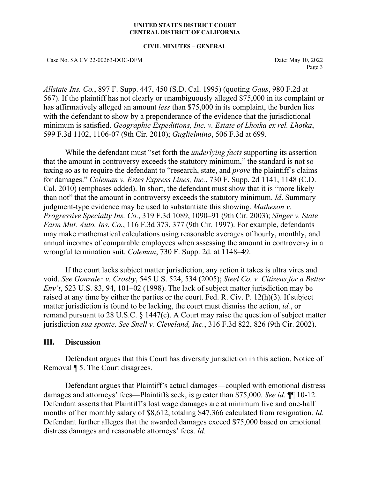#### **UNITED STATES DISTRICT COURT CENTRAL DISTRICT OF CALIFORNIA**

#### **CIVIL MINUTES – GENERAL**

Case No. SA CV 22-00263-DOC-DFM Date: May 10, 2022

Page 3

*Allstate Ins. Co.*, 897 F. Supp. 447, 450 (S.D. Cal. 1995) (quoting *Gaus*, 980 F.2d at 567). If the plaintiff has not clearly or unambiguously alleged \$75,000 in its complaint or has affirmatively alleged an amount *less* than \$75,000 in its complaint, the burden lies with the defendant to show by a preponderance of the evidence that the jurisdictional minimum is satisfied. *Geographic Expeditions, Inc. v. Estate of Lhotka ex rel. Lhotka*, 599 F.3d 1102, 1106-07 (9th Cir. 2010); *Guglielmino*, 506 F.3d at 699.

While the defendant must "set forth the *underlying facts* supporting its assertion that the amount in controversy exceeds the statutory minimum," the standard is not so taxing so as to require the defendant to "research, state, and *prove* the plaintiff's claims for damages." *Coleman v. Estes Express Lines, Inc.*, 730 F. Supp. 2d 1141, 1148 (C.D. Cal. 2010) (emphases added). In short, the defendant must show that it is "more likely than not" that the amount in controversy exceeds the statutory minimum. *Id*. Summary judgment-type evidence may be used to substantiate this showing. *Matheson v. Progressive Specialty Ins. Co.*, 319 F.3d 1089, 1090–91 (9th Cir. 2003); *Singer v. State Farm Mut. Auto. Ins. Co.*, 116 F.3d 373, 377 (9th Cir. 1997). For example, defendants may make mathematical calculations using reasonable averages of hourly, monthly, and annual incomes of comparable employees when assessing the amount in controversy in a wrongful termination suit. *Coleman*, 730 F. Supp. 2d. at 1148–49.

If the court lacks subject matter jurisdiction, any action it takes is ultra vires and void. *See Gonzalez v. Crosby*, 545 U.S. 524, 534 (2005); *Steel Co. v. Citizens for a Better Env't*, 523 U.S. 83, 94, 101–02 (1998). The lack of subject matter jurisdiction may be raised at any time by either the parties or the court. Fed. R. Civ. P. 12(h)(3). If subject matter jurisdiction is found to be lacking, the court must dismiss the action, *id.*, or remand pursuant to 28 U.S.C. § 1447(c). A Court may raise the question of subject matter jurisdiction *sua sponte*. *See Snell v. Cleveland, Inc.*, 316 F.3d 822, 826 (9th Cir. 2002).

## **III. Discussion**

Defendant argues that this Court has diversity jurisdiction in this action. Notice of Removal ¶ 5. The Court disagrees.

Defendant argues that Plaintiff's actual damages—coupled with emotional distress damages and attorneys' fees—Plaintiffs seek, is greater than \$75,000. *See id.* ¶¶ 10-12. Defendant asserts that Plaintiff's lost wage damages are at minimum five and one-half months of her monthly salary of \$8,612, totaling \$47,366 calculated from resignation. *Id.* Defendant further alleges that the awarded damages exceed \$75,000 based on emotional distress damages and reasonable attorneys' fees. *Id.*